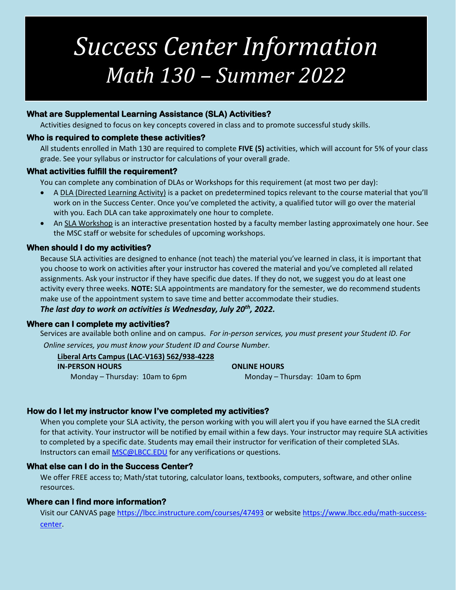# *Success Center Information Math 130 – Summer 2022*

# **What are Supplemental Learning Assistance (SLA) Activities?**

Activities designed to focus on key concepts covered in class and to promote successful study skills.

#### **Who is required to complete these activities?**

All students enrolled in Math 130 are required to complete **FIVE (5)** activities, which will account for 5% of your class grade. See your syllabus or instructor for calculations of your overall grade.

#### **What activities fulfill the requirement?**

You can complete any combination of DLAs or Workshops for this requirement (at most two per day):

- A DLA (Directed Learning Activity) is a packet on predetermined topics relevant to the course material that you'll work on in the Success Center. Once you've completed the activity, a qualified tutor will go over the material with you. Each DLA can take approximately one hour to complete.
- An SLA Workshop is an interactive presentation hosted by a faculty member lasting approximately one hour. See the MSC staff or website for schedules of upcoming workshops.

# **When should I do my activities?**

Because SLA activities are designed to enhance (not teach) the material you've learned in class, it is important that you choose to work on activities after your instructor has covered the material and you've completed all related assignments. Ask your instructor if they have specific due dates. If they do not, we suggest you do at least one activity every three weeks. **NOTE:** SLA appointments are mandatory for the semester, we do recommend students make use of the appointment system to save time and better accommodate their studies.

# *The last day to work on activities is Wednesday, July 20th , 2022.*

#### **Where can I complete my activities?**

Services are available both online and on campus. *For in-person services, you must present your Student ID. For Online services, you must know your Student ID and Course Number.*

**Liberal Arts Campus (LAC-V163) 562/938-4228 IN-PERSON HOURS ONLINE HOURS**

Monday – Thursday: 10am to 6pm

Monday – Thursday: 10am to 6pm

# **How do I let my instructor know I've completed my activities?**

When you complete your SLA activity, the person working with you will alert you if you have earned the SLA credit for that activity. Your instructor will be notified by email within a few days. Your instructor may require SLA activities to completed by a specific date. Students may email their instructor for verification of their completed SLAs. Instructors can email [MSC@LBCC.EDU](mailto:MSC@LBCC.EDU) for any verifications or questions.

# **What else can I do in the Success Center?**

We offer FREE access to; Math/stat tutoring, calculator loans, textbooks, computers, software, and other online resources.

# **Where can I find more information?**

Visit our CANVAS page<https://lbcc.instructure.com/courses/47493> or websit[e https://www.lbcc.edu/math-success](https://www.lbcc.edu/math-success-center)[center.](https://www.lbcc.edu/math-success-center)